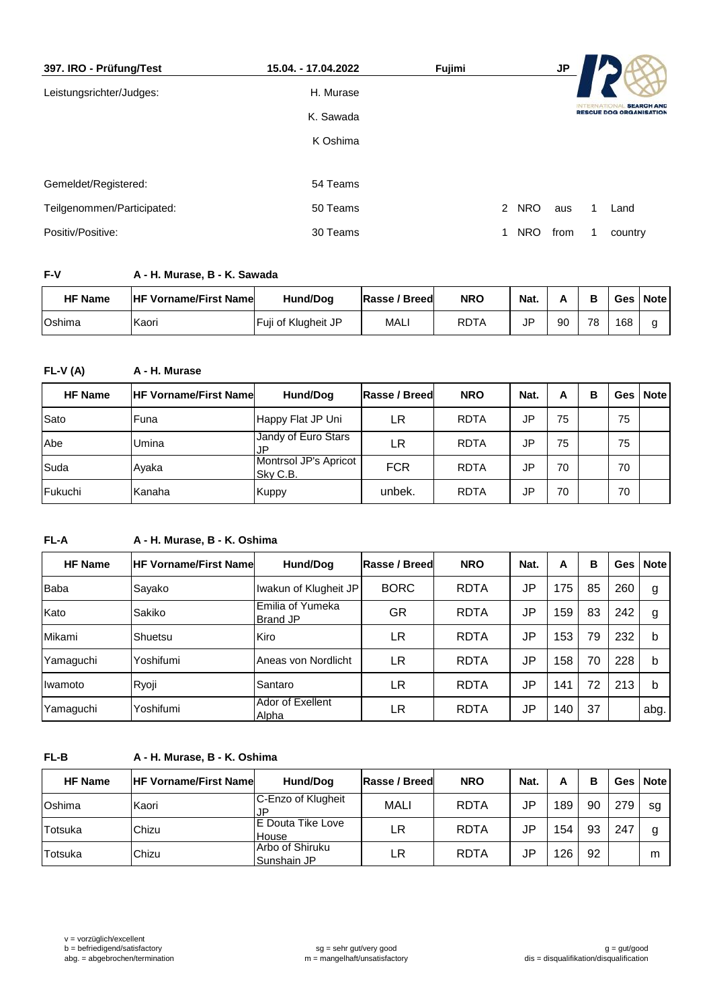| 397. IRO - Prüfung/Test    | 15.04. - 17.04.2022 | Fujimi |                 | <b>JP</b> |                  |                                                     |
|----------------------------|---------------------|--------|-----------------|-----------|------------------|-----------------------------------------------------|
| Leistungsrichter/Judges:   | H. Murase           |        |                 |           |                  |                                                     |
|                            | K. Sawada           |        |                 |           | <b>INTERNATI</b> | <b>SEARCH AND</b><br><b>RESCUE DOG ORGANISATION</b> |
|                            | K Oshima            |        |                 |           |                  |                                                     |
|                            |                     |        |                 |           |                  |                                                     |
| Gemeldet/Registered:       | 54 Teams            |        |                 |           |                  |                                                     |
| Teilgenommen/Participated: | 50 Teams            |        | 2<br><b>NRO</b> | aus       |                  | Land                                                |
| Positiv/Positive:          | 30 Teams            |        | <b>NRO</b>      | from      |                  | country                                             |

# **F-V A - H. Murase, B - K. Sawada**

| <b>HF Name</b> | <b>HF Vorname/First Namel</b> | Hund/Dog            | Rasse / Breed | <b>NRO</b>  | Nat. |    | B  | Ges | <b>Note</b> |
|----------------|-------------------------------|---------------------|---------------|-------------|------|----|----|-----|-------------|
| Oshima         | Kaori                         | Fuji of Klugheit JP | MAL.          | <b>RDTA</b> | ID   | 90 | 78 | 168 | a           |

## **FL-V (A) A - H. Murase**

| <b>HF Name</b> | <b>HF Vorname/First Namel</b> | Hund/Dog                          | Rasse / Breed | <b>NRO</b>  | Nat.      | A  | в |    | Ges   Note |
|----------------|-------------------------------|-----------------------------------|---------------|-------------|-----------|----|---|----|------------|
| Sato           | Funa                          | Happy Flat JP Uni                 | LR            | <b>RDTA</b> | <b>JP</b> | 75 |   | 75 |            |
| Abe            | Umina                         | Jandy of Euro Stars<br>.JP        | LR            | <b>RDTA</b> | <b>JP</b> | 75 |   | 75 |            |
| Suda           | Ayaka                         | Montrsol JP's Apricot<br>Sky C.B. | <b>FCR</b>    | <b>RDTA</b> | JP        | 70 |   | 70 |            |
| <b>Fukuchi</b> | Kanaha                        | <b>Kuppy</b>                      | unbek.        | <b>RDTA</b> | <b>JP</b> | 70 |   | 70 |            |

### **FL-A A - H. Murase, B - K. Oshima**

| <b>HF Name</b> | <b>IHF Vorname/First Namel</b> | Hund/Dog                            | Rasse / Breed | <b>NRO</b>  | Nat. | А   | в  | Ges l | <b>Note</b> |
|----------------|--------------------------------|-------------------------------------|---------------|-------------|------|-----|----|-------|-------------|
| <b>Baba</b>    | Sayako                         | Iwakun of Klugheit JP               | <b>BORC</b>   | <b>RDTA</b> | JP   | 175 | 85 | 260   | g           |
| Kato           | Sakiko                         | Emilia of Yumeka<br><b>Brand JP</b> | GR            | <b>RDTA</b> | JP   | 159 | 83 | 242   | g           |
| Mikami         | <b>Shuetsu</b>                 | Kiro                                | LR            | <b>RDTA</b> | JP   | 153 | 79 | 232   | b           |
| Yamaguchi      | Yoshifumi                      | Aneas von Nordlicht                 | LR            | <b>RDTA</b> | JP   | 158 | 70 | 228   | b           |
| Ilwamoto       | Ryoji                          | Santaro                             | LR            | <b>RDTA</b> | JP   | 141 | 72 | 213   | b           |
| Yamaguchi      | Yoshifumi                      | Ador of Exellent<br>Alpha           | LR            | <b>RDTA</b> | JP   | 140 | 37 |       | abg.        |

#### **FL-B A - H. Murase, B - K. Oshima**

| <b>HF Name</b> | <b>HF Vorname/First Namel</b> | Hund/Dog                       | Rasse / Breed | <b>NRO</b>  | Nat. | А   | в  |     | Ges   Note |
|----------------|-------------------------------|--------------------------------|---------------|-------------|------|-----|----|-----|------------|
| Oshima         | Kaori                         | C-Enzo of Klugheit<br>JP       | <b>MALI</b>   | <b>RDTA</b> | JP   | 189 | 90 | 279 | sg         |
| Totsuka        | Chizu                         | IE Douta Tike Love<br>House    | LR            | <b>RDTA</b> | JP   | 154 | 93 | 247 | g          |
| Totsuka        | Chizu                         | Arbo of Shiruku<br>Sunshain JP | LΒ            | <b>RDTA</b> | JP   | 126 | 92 |     | m          |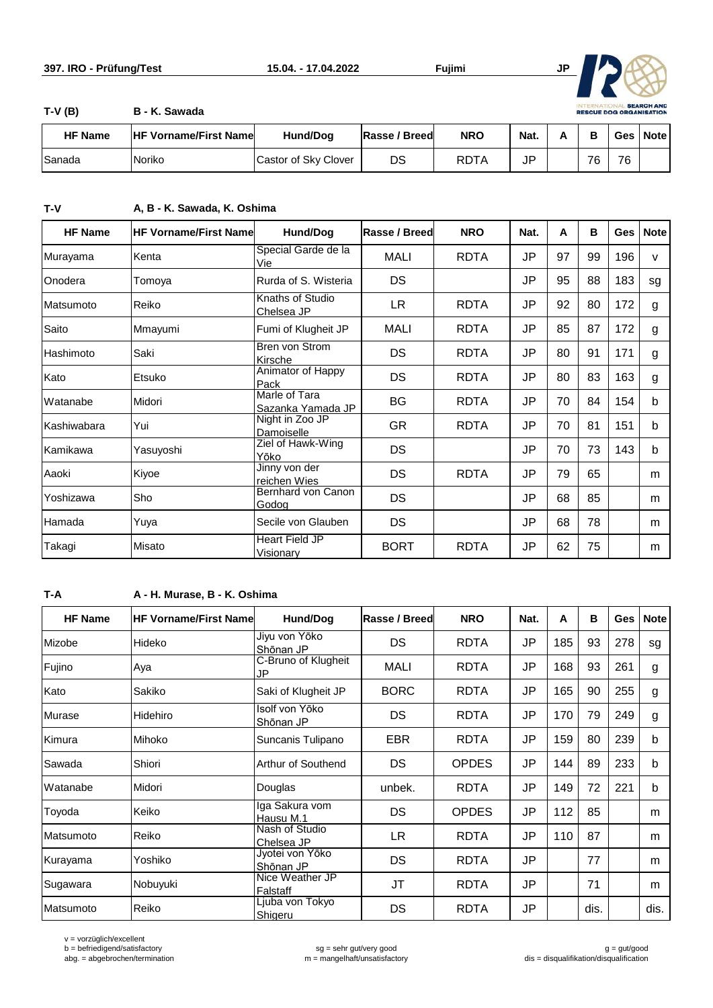

**T-V (B) B - K. Sawada**

| <b>HF Name</b> | <b>IHF Vorname/First Name</b> | <b>Hund/Dog</b>      | Rasse / Breed | <b>NRO</b> | Nat. |    |    | Ges   Note |
|----------------|-------------------------------|----------------------|---------------|------------|------|----|----|------------|
| <b>Sanada</b>  | Noriko                        | Castor of Sky Clover | DS            | RDTA       | JP   | 76 | 76 |            |

**T-V A, B - K. Sawada, K. Oshima**

| <b>HF Name</b> | <b>HF Vorname/First Namel</b> | <b>Hund/Dog</b>                    | Rasse / Breed | <b>NRO</b>  | Nat.      | A  | в  | <b>Ges</b> | <b>Note</b>  |
|----------------|-------------------------------|------------------------------------|---------------|-------------|-----------|----|----|------------|--------------|
| Murayama       | Kenta                         | Special Garde de la<br>Vie         | <b>MALI</b>   | <b>RDTA</b> | JP        | 97 | 99 | 196        | $\mathsf{v}$ |
| Onodera        | Tomoya                        | Rurda of S. Wisteria               | DS            |             | <b>JP</b> | 95 | 88 | 183        | sg           |
| Matsumoto      | Reiko                         | Knaths of Studio<br>Chelsea JP     | LR.           | <b>RDTA</b> | JP        | 92 | 80 | 172        | g            |
| Saito          | Mmayumi                       | Fumi of Klugheit JP                | <b>MALI</b>   | <b>RDTA</b> | JP        | 85 | 87 | 172        | g            |
| Hashimoto      | Saki                          | Bren von Strom<br>Kirsche          | DS            | <b>RDTA</b> | JP        | 80 | 91 | 171        | g            |
| Kato           | Etsuko                        | Animator of Happy<br>Pack          | DS            | <b>RDTA</b> | JP        | 80 | 83 | 163        | g            |
| Watanabe       | Midori                        | Marle of Tara<br>Sazanka Yamada JP | BG            | <b>RDTA</b> | JP        | 70 | 84 | 154        | b            |
| Kashiwabara    | Yui                           | Night in Zoo JP<br>Damoiselle      | <b>GR</b>     | <b>RDTA</b> | <b>JP</b> | 70 | 81 | 151        | b            |
| Kamikawa       | Yasuyoshi                     | Ziel of Hawk-Wing<br>Yōko          | DS            |             | JP        | 70 | 73 | 143        | b            |
| Aaoki          | Kiyoe                         | Jinny von der<br>reichen Wies      | DS            | <b>RDTA</b> | JP        | 79 | 65 |            | m            |
| Yoshizawa      | Sho                           | Bernhard von Canon<br>Godog        | <b>DS</b>     |             | <b>JP</b> | 68 | 85 |            | m            |
| Hamada         | Yuya                          | Secile von Glauben                 | DS            |             | JP        | 68 | 78 |            | m            |
| Takagi         | Misato                        | Heart Field JP<br>Visionarv        | <b>BORT</b>   | <b>RDTA</b> | JP        | 62 | 75 |            | m            |

### **T-A A - H. Murase, B - K. Oshima**

| <b>HF Name</b> | <b>HF Vorname/First Name</b> | Hund/Dog                     | Rasse / Breed | <b>NRO</b>   | Nat. | A   | B    | <b>Ges</b> | <b>Note</b> |
|----------------|------------------------------|------------------------------|---------------|--------------|------|-----|------|------------|-------------|
| Mizobe         | Hideko                       | Jiyu von Yōko<br>Shōnan JP   | <b>DS</b>     | <b>RDTA</b>  | JP   | 185 | 93   | 278        | sg          |
| Fujino         | Aya                          | C-Bruno of Klugheit<br>JP    | <b>MALI</b>   | <b>RDTA</b>  | JP   | 168 | 93   | 261        | g           |
| Kato           | Sakiko                       | Saki of Klugheit JP          | <b>BORC</b>   | <b>RDTA</b>  | JP   | 165 | 90   | 255        | g           |
| Murase         | <b>Hidehiro</b>              | Isolf von Yōko<br>Shōnan JP  | <b>DS</b>     | <b>RDTA</b>  | JP   | 170 | 79   | 249        | g           |
| Kimura         | Mihoko                       | Suncanis Tulipano            | EBR           | <b>RDTA</b>  | JP   | 159 | 80   | 239        | b           |
| Sawada         | Shiori                       | Arthur of Southend           | <b>DS</b>     | <b>OPDES</b> | JP   | 144 | 89   | 233        | $\mathbf b$ |
| Watanabe       | Midori                       | Douglas                      | unbek.        | <b>RDTA</b>  | JP   | 149 | 72   | 221        | b           |
| Toyoda         | Keiko                        | Iga Sakura vom<br>Hausu M.1  | <b>DS</b>     | <b>OPDES</b> | JP   | 112 | 85   |            | m           |
| Matsumoto      | Reiko                        | Nash of Studio<br>Chelsea JP | <b>LR</b>     | <b>RDTA</b>  | JP   | 110 | 87   |            | m           |
| Kurayama       | Yoshiko                      | Jyotei von Yōko<br>Shōnan JP | <b>DS</b>     | <b>RDTA</b>  | JP   |     | 77   |            | m           |
| Sugawara       | Nobuyuki                     | Nice Weather JP<br>Falstaff  | JT            | <b>RDTA</b>  | JP   |     | 71   |            | m           |
| Matsumoto      | Reiko                        | Ljuba von Tokyo<br>Shigeru   | <b>DS</b>     | <b>RDTA</b>  | JP   |     | dis. |            | dis.        |

v = vorzüglich/excellent